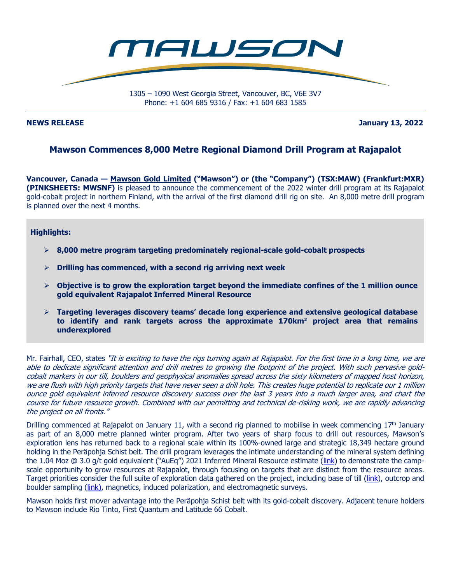

**NEWS RELEASE January 13, 2022** 

# **Mawson Commences 8,000 Metre Regional Diamond Drill Program at Rajapalot**

**Vancouver, Canada — Mawson Gold Limited ("Mawson") or (the "Company") (TSX:MAW) (Frankfurt:MXR) (PINKSHEETS: MWSNF)** is pleased to announce the commencement of the 2022 winter drill program at its Rajapalot gold-cobalt project in northern Finland, with the arrival of the first diamond drill rig on site. An 8,000 metre drill program is planned over the next 4 months.

### **Highlights:**

- **8,000 metre program targeting predominately regional-scale gold-cobalt prospects**
- **Drilling has commenced, with a second rig arriving next week**
- **Objective is to grow the exploration target beyond the immediate confines of the 1 million ounce gold equivalent Rajapalot Inferred Mineral Resource**
- **Targeting leverages discovery teams' decade long experience and extensive geological database**  to identify and rank targets across the approximate 170km<sup>2</sup> project area that remains **underexplored**

Mr. Fairhall, CEO, states "It is exciting to have the rigs turning again at Rajapalot. For the first time in a long time, we are able to dedicate significant attention and drill metres to growing the footprint of the project. With such pervasive goldcobalt markers in our till, boulders and geophysical anomalies spread across the sixty kilometers of mapped host horizon, we are flush with high priority targets that have never seen a drill hole. This creates huge potential to replicate our 1 million ounce gold equivalent inferred resource discovery success over the last 3 years into a much larger area, and chart the course for future resource growth. Combined with our permitting and technical de-risking work, we are rapidly advancing the project on all fronts."

Drilling commenced at Rajapalot on January 11, with a second rig planned to mobilise in week commencing 17<sup>th</sup> January as part of an 8,000 metre planned winter program. After two years of sharp focus to drill out resources, Mawson's exploration lens has returned back to a regional scale within its 100%-owned large and strategic 18,349 hectare ground holding in the Peräpohja Schist belt. The drill program leverages the intimate understanding of the mineral system defining the 1.04 Moz @ 3.0 g/t gold equivalent ("AuEq") 2021 Inferred Mineral Resource estimate (link) to demonstrate the campscale opportunity to grow resources at Rajapalot, through focusing on targets that are distinct from the resource areas. Target priorities consider the full suite of exploration data gathered on the project, including base of till (link), outcrop and boulder sampling (link), magnetics, induced polarization, and electromagnetic surveys.

Mawson holds first mover advantage into the Peräpohja Schist belt with its gold-cobalt discovery. Adjacent tenure holders to Mawson include Rio Tinto, First Quantum and Latitude 66 Cobalt.